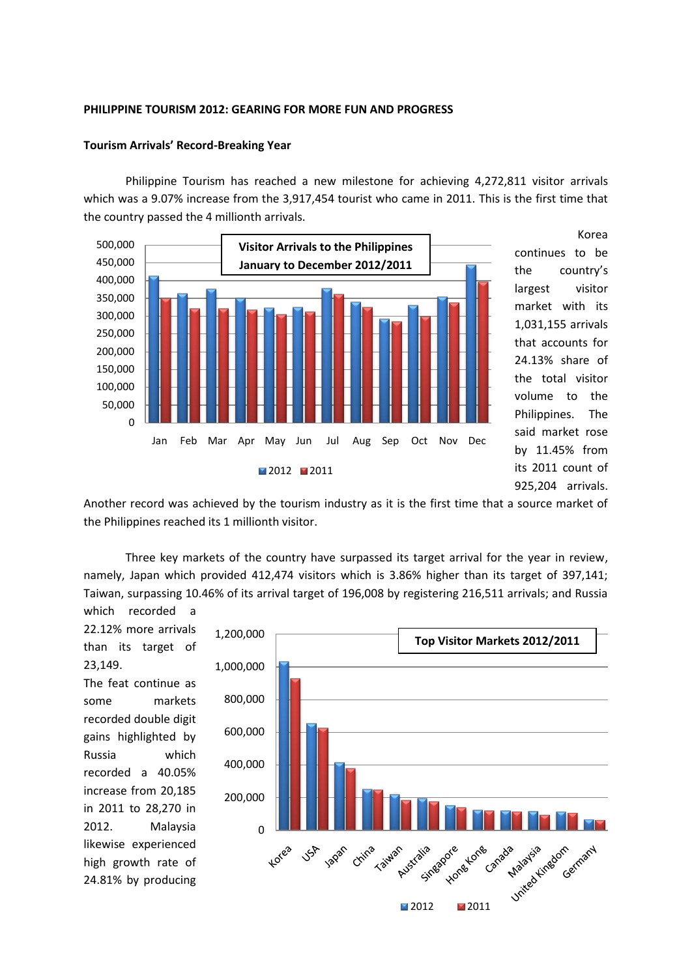# **PHILIPPINE TOURISM 2012: GEARING FOR MORE FUN AND PROGRESS**

# **Tourism Arrivals' Record-Breaking Year**

Philippine Tourism has reached a new milestone for achieving 4,272,811 visitor arrivals which was a 9.07% increase from the 3,917,454 tourist who came in 2011. This is the first time that the country passed the 4 millionth arrivals.



Korea continues to be the country's largest visitor market with its 1,031,155 arrivals that accounts for 24.13% share of the total visitor volume to the Philippines. The said market rose by 11.45% from its 2011 count of 925,204 arrivals.

Another record was achieved by the tourism industry as it is the first time that a source market of the Philippines reached its 1 millionth visitor.

Three key markets of the country have surpassed its target arrival for the year in review, namely, Japan which provided 412,474 visitors which is 3.86% higher than its target of 397,141; Taiwan, surpassing 10.46% of its arrival target of 196,008 by registering 216,511 arrivals; and Russia

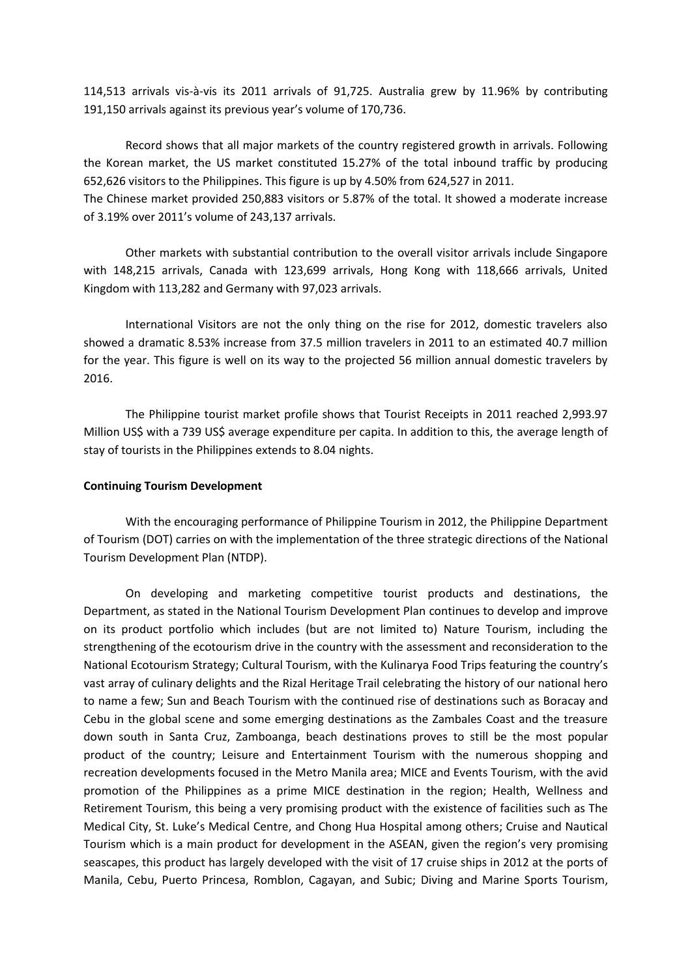114,513 arrivals vis-à-vis its 2011 arrivals of 91,725. Australia grew by 11.96% by contributing 191,150 arrivals against its previous year's volume of 170,736.

Record shows that all major markets of the country registered growth in arrivals. Following the Korean market, the US market constituted 15.27% of the total inbound traffic by producing 652,626 visitors to the Philippines. This figure is up by 4.50% from 624,527 in 2011. The Chinese market provided 250,883 visitors or 5.87% of the total. It showed a moderate increase

of 3.19% over 2011's volume of 243,137 arrivals.

Other markets with substantial contribution to the overall visitor arrivals include Singapore with 148,215 arrivals, Canada with 123,699 arrivals, Hong Kong with 118,666 arrivals, United Kingdom with 113,282 and Germany with 97,023 arrivals.

International Visitors are not the only thing on the rise for 2012, domestic travelers also showed a dramatic 8.53% increase from 37.5 million travelers in 2011 to an estimated 40.7 million for the year. This figure is well on its way to the projected 56 million annual domestic travelers by 2016.

The Philippine tourist market profile shows that Tourist Receipts in 2011 reached 2,993.97 Million US\$ with a 739 US\$ average expenditure per capita. In addition to this, the average length of stay of tourists in the Philippines extends to 8.04 nights.

# **Continuing Tourism Development**

With the encouraging performance of Philippine Tourism in 2012, the Philippine Department of Tourism (DOT) carries on with the implementation of the three strategic directions of the National Tourism Development Plan (NTDP).

On developing and marketing competitive tourist products and destinations, the Department, as stated in the National Tourism Development Plan continues to develop and improve on its product portfolio which includes (but are not limited to) Nature Tourism, including the strengthening of the ecotourism drive in the country with the assessment and reconsideration to the National Ecotourism Strategy; Cultural Tourism, with the Kulinarya Food Trips featuring the country's vast array of culinary delights and the Rizal Heritage Trail celebrating the history of our national hero to name a few; Sun and Beach Tourism with the continued rise of destinations such as Boracay and Cebu in the global scene and some emerging destinations as the Zambales Coast and the treasure down south in Santa Cruz, Zamboanga, beach destinations proves to still be the most popular product of the country; Leisure and Entertainment Tourism with the numerous shopping and recreation developments focused in the Metro Manila area; MICE and Events Tourism, with the avid promotion of the Philippines as a prime MICE destination in the region; Health, Wellness and Retirement Tourism, this being a very promising product with the existence of facilities such as The Medical City, St. Luke's Medical Centre, and Chong Hua Hospital among others; Cruise and Nautical Tourism which is a main product for development in the ASEAN, given the region's very promising seascapes, this product has largely developed with the visit of 17 cruise ships in 2012 at the ports of Manila, Cebu, Puerto Princesa, Romblon, Cagayan, and Subic; Diving and Marine Sports Tourism,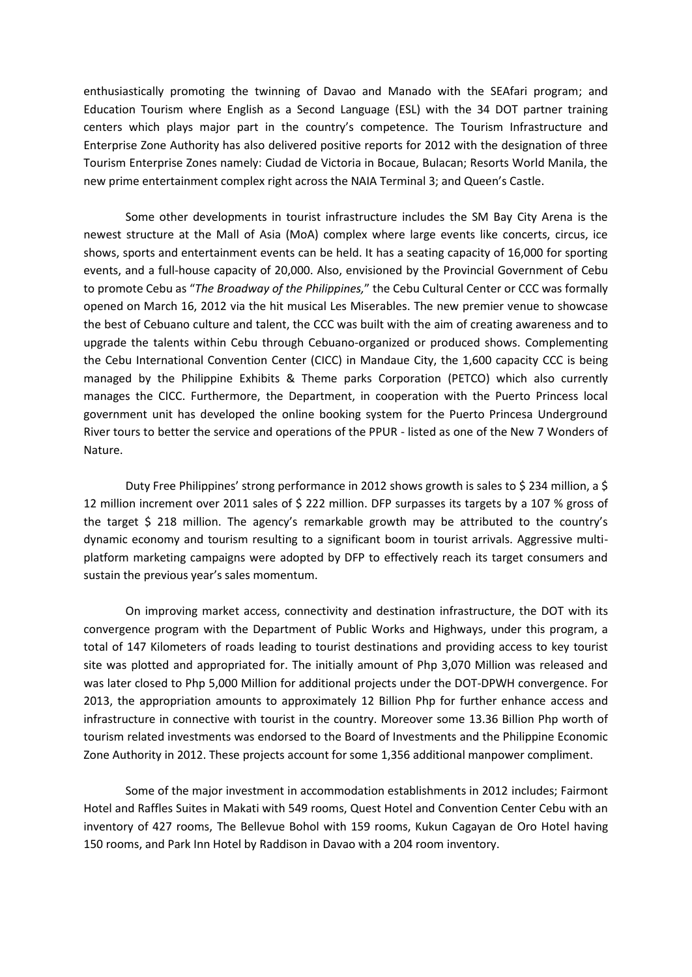enthusiastically promoting the twinning of Davao and Manado with the SEAfari program; and Education Tourism where English as a Second Language (ESL) with the 34 DOT partner training centers which plays major part in the country's competence. The Tourism Infrastructure and Enterprise Zone Authority has also delivered positive reports for 2012 with the designation of three Tourism Enterprise Zones namely: Ciudad de Victoria in Bocaue, Bulacan; Resorts World Manila, the new prime entertainment complex right across the NAIA Terminal 3; and Queen's Castle.

Some other developments in tourist infrastructure includes the SM Bay City Arena is the newest structure at the Mall of Asia (MoA) complex where large events like concerts, circus, ice shows, sports and entertainment events can be held. It has a seating capacity of 16,000 for sporting events, and a full-house capacity of 20,000. Also, envisioned by the Provincial Government of Cebu to promote Cebu as "*The Broadway of the Philippines,*" the Cebu Cultural Center or CCC was formally opened on March 16, 2012 via the hit musical Les Miserables. The new premier venue to showcase the best of Cebuano culture and talent, the CCC was built with the aim of creating awareness and to upgrade the talents within Cebu through Cebuano‐organized or produced shows. Complementing the Cebu International Convention Center (CICC) in Mandaue City, the 1,600 capacity CCC is being managed by the Philippine Exhibits & Theme parks Corporation (PETCO) which also currently manages the CICC. Furthermore, the Department, in cooperation with the Puerto Princess local government unit has developed the online booking system for the Puerto Princesa Underground River tours to better the service and operations of the PPUR - listed as one of the New 7 Wonders of Nature.

Duty Free Philippines' strong performance in 2012 shows growth is sales to \$ 234 million, a \$ 12 million increment over 2011 sales of \$ 222 million. DFP surpasses its targets by a 107 % gross of the target \$ 218 million. The agency's remarkable growth may be attributed to the country's dynamic economy and tourism resulting to a significant boom in tourist arrivals. Aggressive multiplatform marketing campaigns were adopted by DFP to effectively reach its target consumers and sustain the previous year's sales momentum.

On improving market access, connectivity and destination infrastructure, the DOT with its convergence program with the Department of Public Works and Highways, under this program, a total of 147 Kilometers of roads leading to tourist destinations and providing access to key tourist site was plotted and appropriated for. The initially amount of Php 3,070 Million was released and was later closed to Php 5,000 Million for additional projects under the DOT-DPWH convergence. For 2013, the appropriation amounts to approximately 12 Billion Php for further enhance access and infrastructure in connective with tourist in the country. Moreover some 13.36 Billion Php worth of tourism related investments was endorsed to the Board of Investments and the Philippine Economic Zone Authority in 2012. These projects account for some 1,356 additional manpower compliment.

Some of the major investment in accommodation establishments in 2012 includes; Fairmont Hotel and Raffles Suites in Makati with 549 rooms, Quest Hotel and Convention Center Cebu with an inventory of 427 rooms, The Bellevue Bohol with 159 rooms, Kukun Cagayan de Oro Hotel having 150 rooms, and Park Inn Hotel by Raddison in Davao with a 204 room inventory.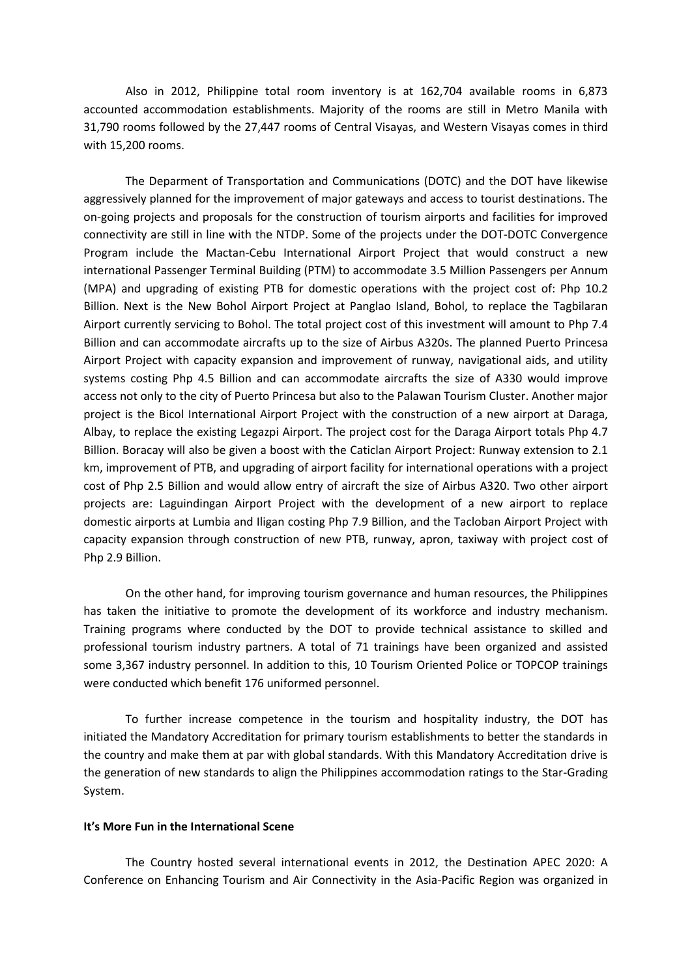Also in 2012, Philippine total room inventory is at 162,704 available rooms in 6,873 accounted accommodation establishments. Majority of the rooms are still in Metro Manila with 31,790 rooms followed by the 27,447 rooms of Central Visayas, and Western Visayas comes in third with 15,200 rooms.

The Deparment of Transportation and Communications (DOTC) and the DOT have likewise aggressively planned for the improvement of major gateways and access to tourist destinations. The on-going projects and proposals for the construction of tourism airports and facilities for improved connectivity are still in line with the NTDP. Some of the projects under the DOT-DOTC Convergence Program include the Mactan-Cebu International Airport Project that would construct a new international Passenger Terminal Building (PTM) to accommodate 3.5 Million Passengers per Annum (MPA) and upgrading of existing PTB for domestic operations with the project cost of: Php 10.2 Billion. Next is the New Bohol Airport Project at Panglao Island, Bohol, to replace the Tagbilaran Airport currently servicing to Bohol. The total project cost of this investment will amount to Php 7.4 Billion and can accommodate aircrafts up to the size of Airbus A320s. The planned Puerto Princesa Airport Project with capacity expansion and improvement of runway, navigational aids, and utility systems costing Php 4.5 Billion and can accommodate aircrafts the size of A330 would improve access not only to the city of Puerto Princesa but also to the Palawan Tourism Cluster. Another major project is the Bicol International Airport Project with the construction of a new airport at Daraga, Albay, to replace the existing Legazpi Airport. The project cost for the Daraga Airport totals Php 4.7 Billion. Boracay will also be given a boost with the Caticlan Airport Project: Runway extension to 2.1 km, improvement of PTB, and upgrading of airport facility for international operations with a project cost of Php 2.5 Billion and would allow entry of aircraft the size of Airbus A320. Two other airport projects are: Laguindingan Airport Project with the development of a new airport to replace domestic airports at Lumbia and Iligan costing Php 7.9 Billion, and the Tacloban Airport Project with capacity expansion through construction of new PTB, runway, apron, taxiway with project cost of Php 2.9 Billion.

On the other hand, for improving tourism governance and human resources, the Philippines has taken the initiative to promote the development of its workforce and industry mechanism. Training programs where conducted by the DOT to provide technical assistance to skilled and professional tourism industry partners. A total of 71 trainings have been organized and assisted some 3,367 industry personnel. In addition to this, 10 Tourism Oriented Police or TOPCOP trainings were conducted which benefit 176 uniformed personnel.

To further increase competence in the tourism and hospitality industry, the DOT has initiated the Mandatory Accreditation for primary tourism establishments to better the standards in the country and make them at par with global standards. With this Mandatory Accreditation drive is the generation of new standards to align the Philippines accommodation ratings to the Star-Grading System.

#### **It's More Fun in the International Scene**

The Country hosted several international events in 2012, the Destination APEC 2020: A Conference on Enhancing Tourism and Air Connectivity in the Asia-Pacific Region was organized in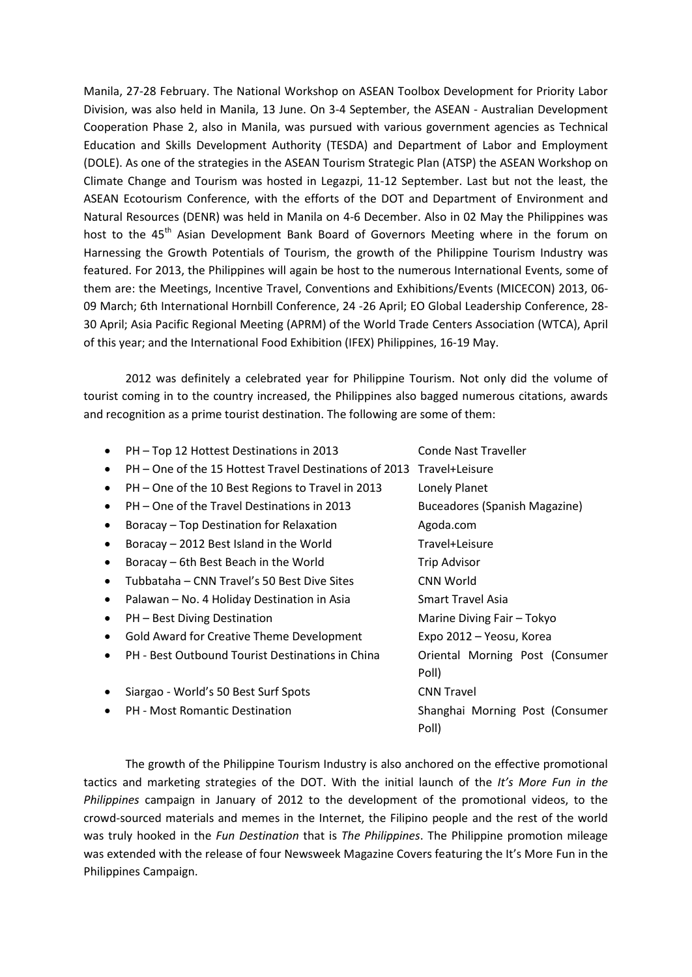Manila, 27-28 February. The National Workshop on ASEAN Toolbox Development for Priority Labor Division, was also held in Manila, 13 June. On 3-4 September, the ASEAN - Australian Development Cooperation Phase 2, also in Manila, was pursued with various government agencies as Technical Education and Skills Development Authority (TESDA) and Department of Labor and Employment (DOLE). As one of the strategies in the ASEAN Tourism Strategic Plan (ATSP) the ASEAN Workshop on Climate Change and Tourism was hosted in Legazpi, 11-12 September. Last but not the least, the ASEAN Ecotourism Conference, with the efforts of the DOT and Department of Environment and Natural Resources (DENR) was held in Manila on 4-6 December. Also in 02 May the Philippines was host to the 45<sup>th</sup> Asian Development Bank Board of Governors Meeting where in the forum on Harnessing the Growth Potentials of Tourism, the growth of the Philippine Tourism Industry was featured. For 2013, the Philippines will again be host to the numerous International Events, some of them are: the Meetings, Incentive Travel, Conventions and Exhibitions/Events (MICECON) 2013, 06- 09 March; 6th International Hornbill Conference, 24 -26 April; EO Global Leadership Conference, 28- 30 April; Asia Pacific Regional Meeting (APRM) of the World Trade Centers Association (WTCA), April of this year; and the International Food Exhibition (IFEX) Philippines, 16-19 May.

2012 was definitely a celebrated year for Philippine Tourism. Not only did the volume of tourist coming in to the country increased, the Philippines also bagged numerous citations, awards and recognition as a prime tourist destination. The following are some of them:

• PH – Top 12 Hottest Destinations in 2013 Conde Nast Traveller PH – One of the 15 Hottest Travel Destinations of 2013 Travel+Leisure PH – One of the 10 Best Regions to Travel in 2013 Lonely Planet • PH – One of the Travel Destinations in 2013 Buceadores (Spanish Magazine) • Boracay – Top Destination for Relaxation **Agoda.com** • Boracay – 2012 Best Island in the World Travel+Leisure • Boracay – 6th Best Beach in the World Trip Advisor • Tubbataha – CNN Travel's 50 Best Dive Sites CNN World • Palawan – No. 4 Holiday Destination in Asia Smart Travel Asia • PH – Best Diving Destination and Marine Diving Fair – Tokyo • Gold Award for Creative Theme Development Expo 2012 – Yeosu, Korea PH - Best Outbound Tourist Destinations in China Oriental Morning Post (Consumer Poll) • Siargao - World's 50 Best Surf Spots CNN Travel • PH - Most Romantic Destination Shanghai Morning Post (Consumer Poll)

The growth of the Philippine Tourism Industry is also anchored on the effective promotional tactics and marketing strategies of the DOT. With the initial launch of the *It's More Fun in the Philippines* campaign in January of 2012 to the development of the promotional videos, to the crowd-sourced materials and memes in the Internet, the Filipino people and the rest of the world was truly hooked in the *Fun Destination* that is *The Philippines*. The Philippine promotion mileage was extended with the release of four Newsweek Magazine Covers featuring the It's More Fun in the Philippines Campaign.